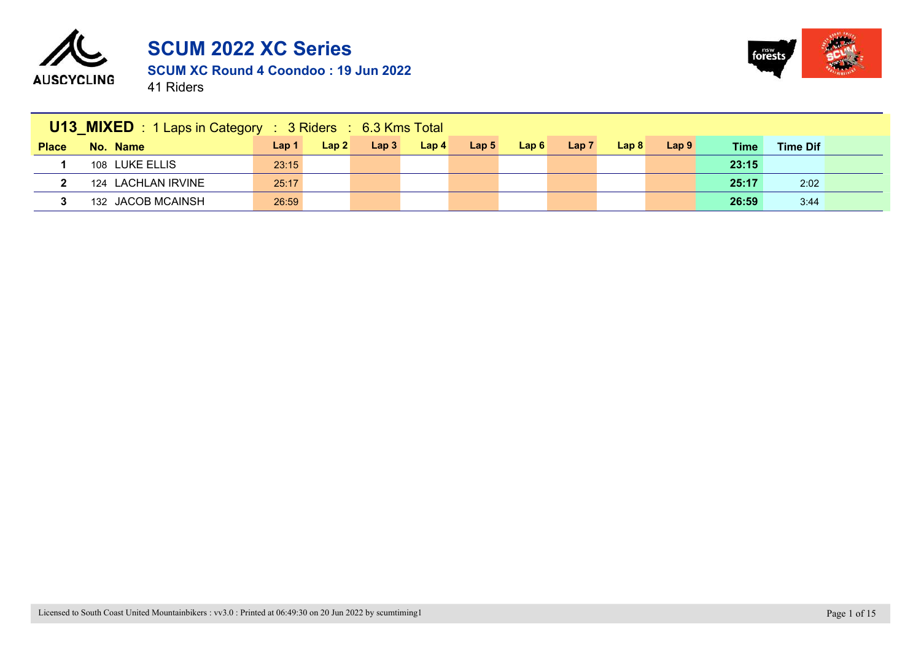



|       | <b>U13_MIXED</b> : 1 Laps in Category : 3 Riders : 6.3 Kms Total |                  |      |                  |                  |                  |      |      |                  |                  |             |                 |
|-------|------------------------------------------------------------------|------------------|------|------------------|------------------|------------------|------|------|------------------|------------------|-------------|-----------------|
| Place | No. Name                                                         | Lap <sub>1</sub> | Lap2 | Lap <sub>3</sub> | Lap <sub>4</sub> | Lap <sub>5</sub> | Lap6 | Lap7 | Lap <sub>8</sub> | Lap <sub>9</sub> | <b>Time</b> | <b>Time Dif</b> |
|       | 108 LUKE ELLIS                                                   | 23:15            |      |                  |                  |                  |      |      |                  |                  | 23:15       |                 |
|       | 124 LACHLAN IRVINE                                               | 25:17            |      |                  |                  |                  |      |      |                  |                  | 25:17       | 2:02            |
|       | 132 JACOB MCAINSH                                                | 26:59            |      |                  |                  |                  |      |      |                  |                  | 26:59       | 3:44            |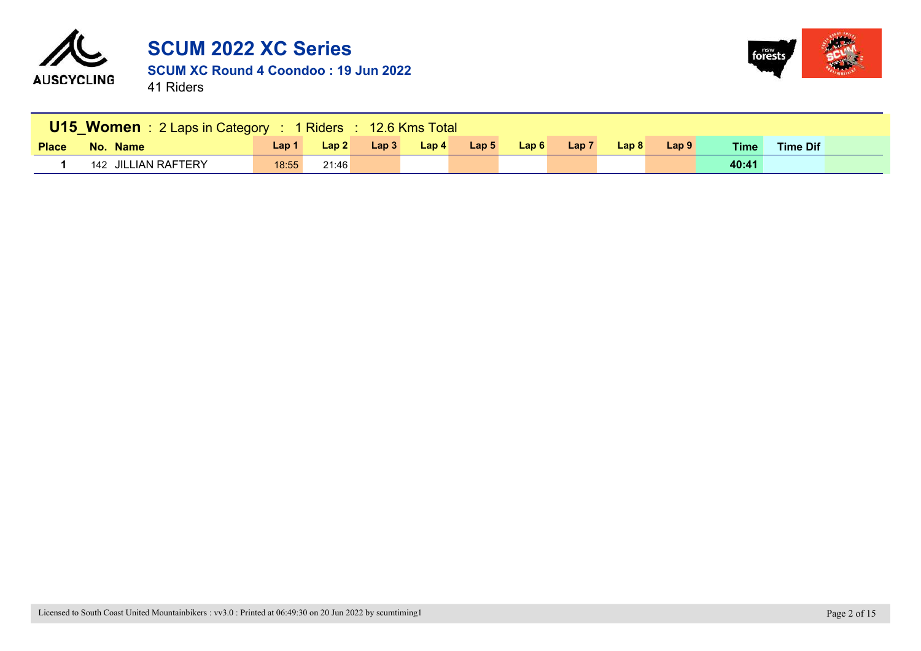



|              | U15 Women: 2 Laps in Category : 1 Riders : 12.6 Kms Total |       |       |      |                  |                  |      |                  |                  |                  |       |                 |  |
|--------------|-----------------------------------------------------------|-------|-------|------|------------------|------------------|------|------------------|------------------|------------------|-------|-----------------|--|
| <b>Place</b> | No. Name                                                  | Lap 1 | Lap 2 | Lap3 | Lap <sub>4</sub> | Lap <sub>5</sub> | Lap6 | Lap <sub>7</sub> | Lap <sub>8</sub> | Lap <sub>9</sub> | Time  | <b>Time Dif</b> |  |
|              | 142 JILLIAN RAFTERY                                       | 18:55 | 21:46 |      |                  |                  |      |                  |                  |                  | 40:41 |                 |  |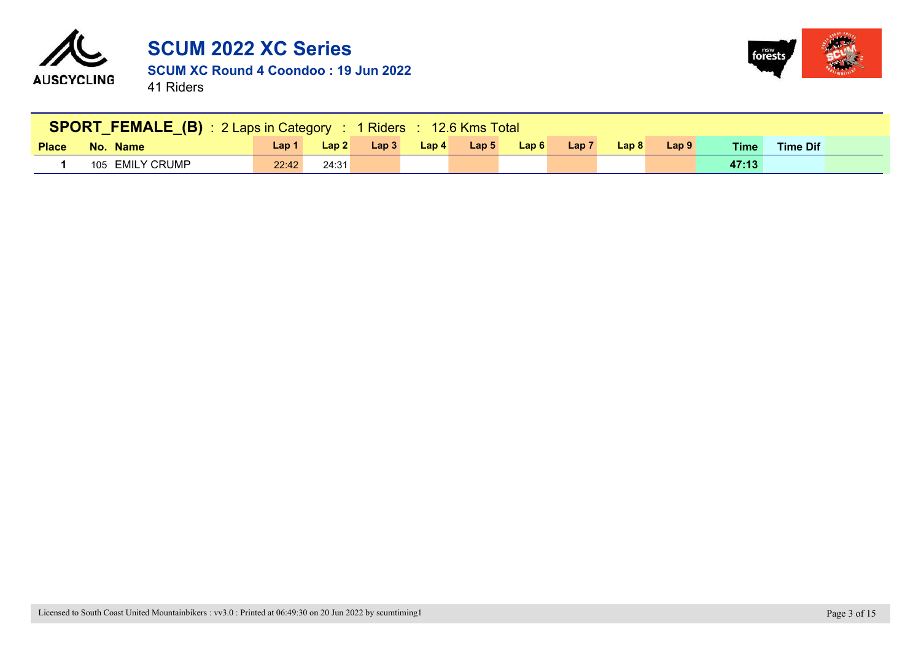



|              | SPORT_FEMALE_(B): 2 Laps in Category: 1 Riders: 12.6 Kms Total |       |                                 |      |                  |                  |       |                  |                  |                                  |       |                 |  |
|--------------|----------------------------------------------------------------|-------|---------------------------------|------|------------------|------------------|-------|------------------|------------------|----------------------------------|-------|-----------------|--|
| <b>Place</b> | No. Name                                                       | Lap 1 | $\lfloor \text{Lap } 2 \rfloor$ | Lap3 | Lap <sub>4</sub> | Lap <sub>5</sub> | Lap 6 | Lap <sub>7</sub> | Lap <sub>8</sub> | $\textcolor{red}{\text{Lap}}\,9$ | Time  | <b>Time Dif</b> |  |
|              | 105 EMILY CRUMP                                                | 22:42 | 24:31                           |      |                  |                  |       |                  |                  |                                  | 47:13 |                 |  |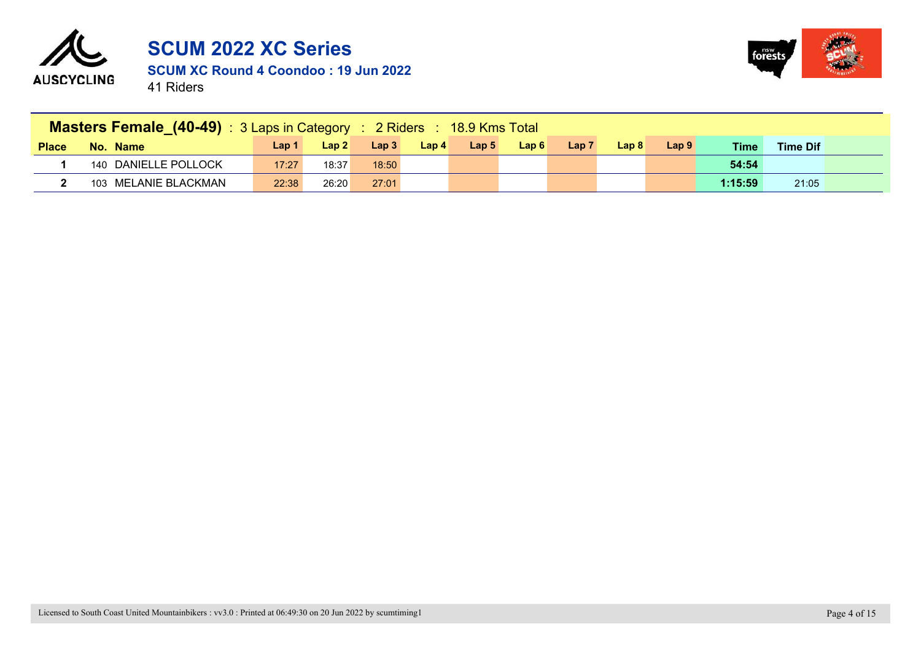



|              | Masters Female (40-49): 3 Laps in Category: 2 Riders: 18.9 Kms Total |       |                  |                  |                  |                  |      |                  |                  |                  |             |                 |  |
|--------------|----------------------------------------------------------------------|-------|------------------|------------------|------------------|------------------|------|------------------|------------------|------------------|-------------|-----------------|--|
| <b>Place</b> | No. Name                                                             | Lap 1 | Lap <sub>2</sub> | Lap <sub>3</sub> | Lap <sub>4</sub> | Lap <sub>5</sub> | Lap6 | Lap <sub>7</sub> | Lap <sub>8</sub> | Lap <sub>9</sub> | <b>Time</b> | <b>Time Dif</b> |  |
|              | 140 DANIELLE POLLOCK                                                 | 17:27 | 18:37            | 18:50            |                  |                  |      |                  |                  |                  | 54:54       |                 |  |
|              | 103 MELANIE BLACKMAN                                                 | 22:38 | 26:20            | 27:01            |                  |                  |      |                  |                  |                  | 1:15:59     | 21:05           |  |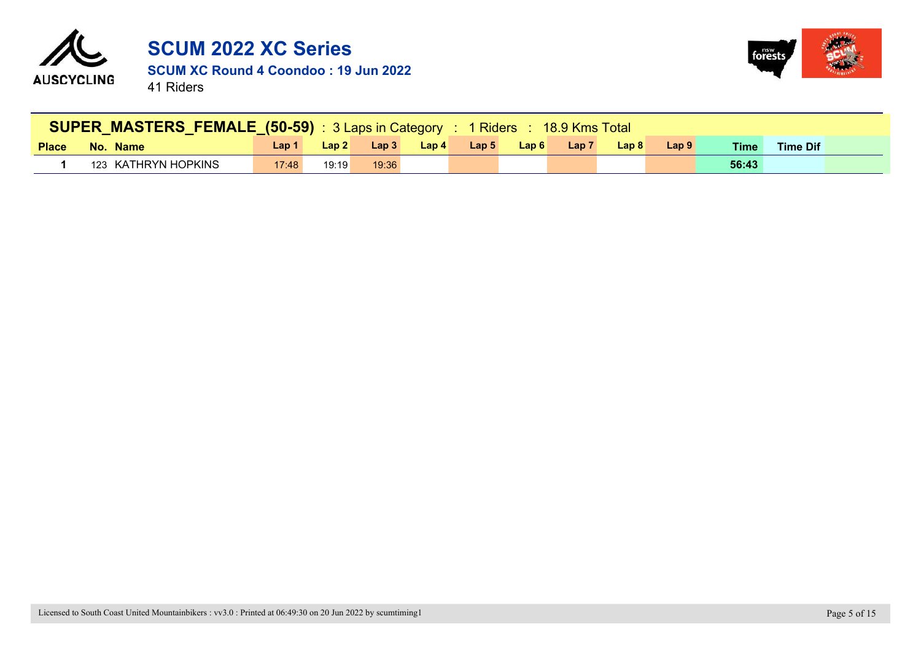



|              | SUPER MASTERS FEMALE (50-59) : 3 Laps in Category : 1 Riders : 18.9 Kms Total |       |       |       |                  |                  |      |       |                  |       |             |                 |  |
|--------------|-------------------------------------------------------------------------------|-------|-------|-------|------------------|------------------|------|-------|------------------|-------|-------------|-----------------|--|
| <b>Place</b> | No. Name                                                                      | Lap 1 | Lap2  | Lap3  | Lap <sub>4</sub> | Lap <sub>5</sub> | Lap6 | Lap 7 | Lap <sub>8</sub> | Lap 9 | <b>Time</b> | <b>Time Dif</b> |  |
|              | 123 KATHRYN HOPKINS                                                           | 17:48 | 19:19 | 19:36 |                  |                  |      |       |                  |       | 56:43       |                 |  |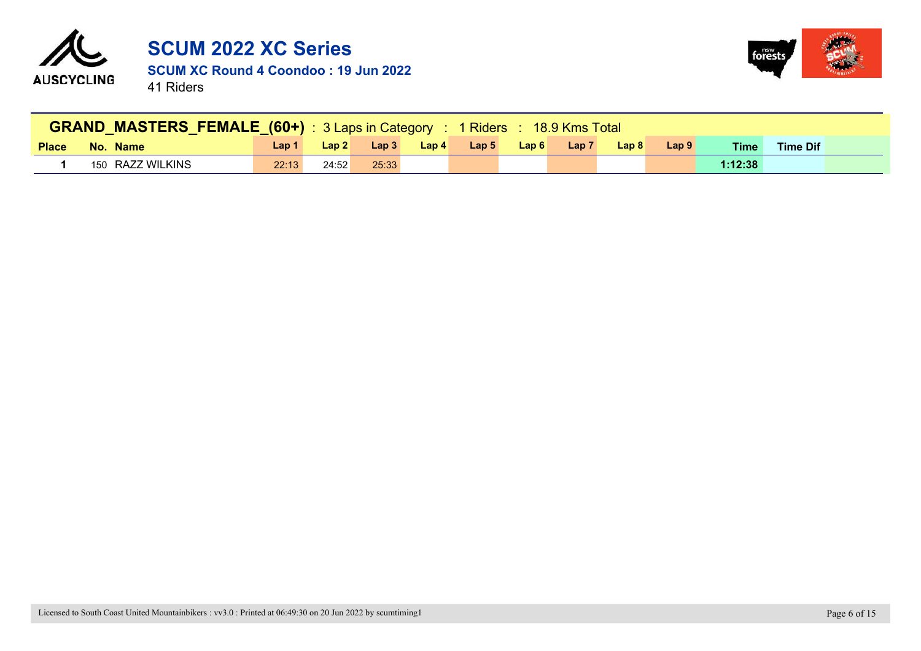



|              | <b>GRAND MASTERS FEMALE (60+)</b> : 3 Laps in Category : 1 Riders : 18.9 Kms Total |       |       |       |       |                  |                |                  |       |                   |             |                 |  |
|--------------|------------------------------------------------------------------------------------|-------|-------|-------|-------|------------------|----------------|------------------|-------|-------------------|-------------|-----------------|--|
| <b>Place</b> | No. Name                                                                           | Lap 1 | Lap2  | Lap3  | Lap 4 | Lap <sub>5</sub> | $\angle$ Lap 6 | Lap <sub>7</sub> | Lap 8 | $\mathsf{L}$ ap 9 | <b>Time</b> | <b>Time Dif</b> |  |
|              | 150 RAZZ WILKINS                                                                   | 22:13 | 24:52 | 25:33 |       |                  |                |                  |       |                   | 1:12:38     |                 |  |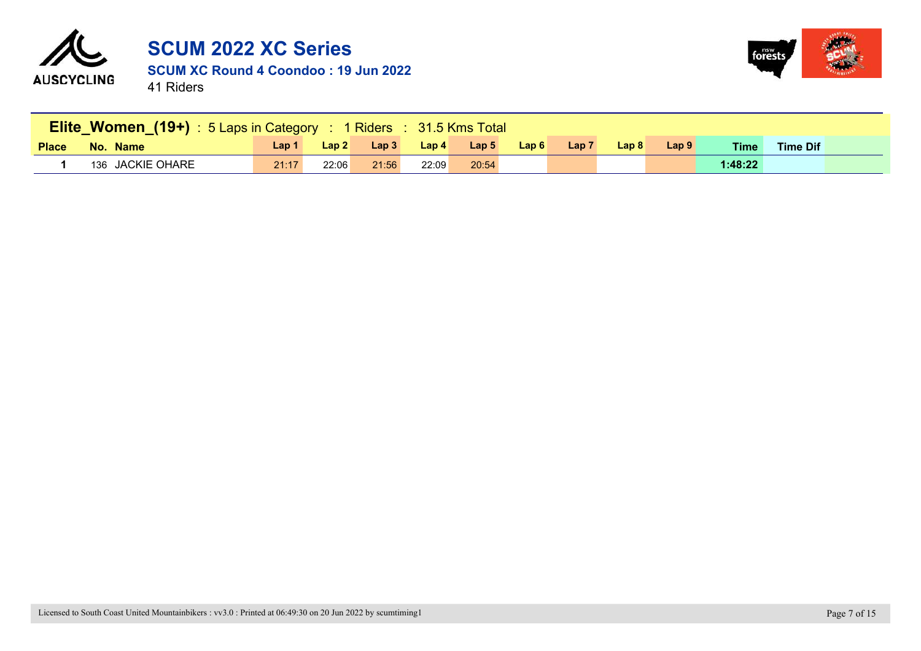



|              | <b>Elite_Women_(19+)</b> : 5 Laps in Category : 1 Riders : 31.5 Kms Total |         |       |       |         |                  |      |                  |                  |       |             |                 |  |
|--------------|---------------------------------------------------------------------------|---------|-------|-------|---------|------------------|------|------------------|------------------|-------|-------------|-----------------|--|
| <b>Place</b> | No. Name                                                                  | Lap $1$ | Lap2  | Lap3  | Lap $4$ | Lap <sub>5</sub> | Lap6 | Lap <sub>7</sub> | Lap <sub>8</sub> | Lap 9 | <b>Time</b> | <b>Time Dif</b> |  |
|              | 136 JACKIE OHARE                                                          | 21:17   | 22:06 | 21:56 | 22:09   | 20:54            |      |                  |                  |       | 1:48:22     |                 |  |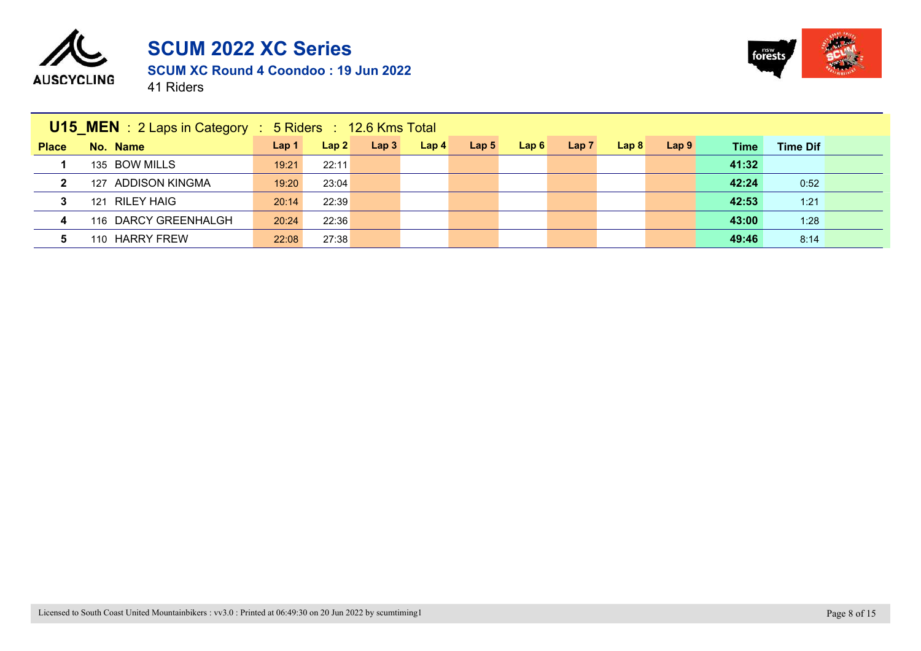



|                | <b>U15_MEN</b> : 2 Laps in Category | $\div$ 5 Riders $\div$ 12.6 Kms Total |       |      |                  |                  |      |      |                  |                  |       |                 |  |
|----------------|-------------------------------------|---------------------------------------|-------|------|------------------|------------------|------|------|------------------|------------------|-------|-----------------|--|
| <b>Place</b>   | No. Name                            | Lap <sub>1</sub>                      | Lap2  | Lap3 | Lap <sub>4</sub> | Lap <sub>5</sub> | Lap6 | Lap7 | Lap <sub>8</sub> | Lap <sub>9</sub> | Time  | <b>Time Dif</b> |  |
|                | 135 BOW MILLS                       | 19:21                                 | 22:11 |      |                  |                  |      |      |                  |                  | 41:32 |                 |  |
| $\mathbf{2}$   | 127 ADDISON KINGMA                  | 19:20                                 | 23:04 |      |                  |                  |      |      |                  |                  | 42:24 | 0:52            |  |
| 3              | 121 RILEY HAIG                      | 20:14                                 | 22:39 |      |                  |                  |      |      |                  |                  | 42:53 | 1:21            |  |
| $\overline{4}$ | 116 DARCY GREENHALGH                | 20:24                                 | 22:36 |      |                  |                  |      |      |                  |                  | 43:00 | 1:28            |  |
| 5.             | 110 HARRY FREW                      | 22:08                                 | 27:38 |      |                  |                  |      |      |                  |                  | 49:46 | 8:14            |  |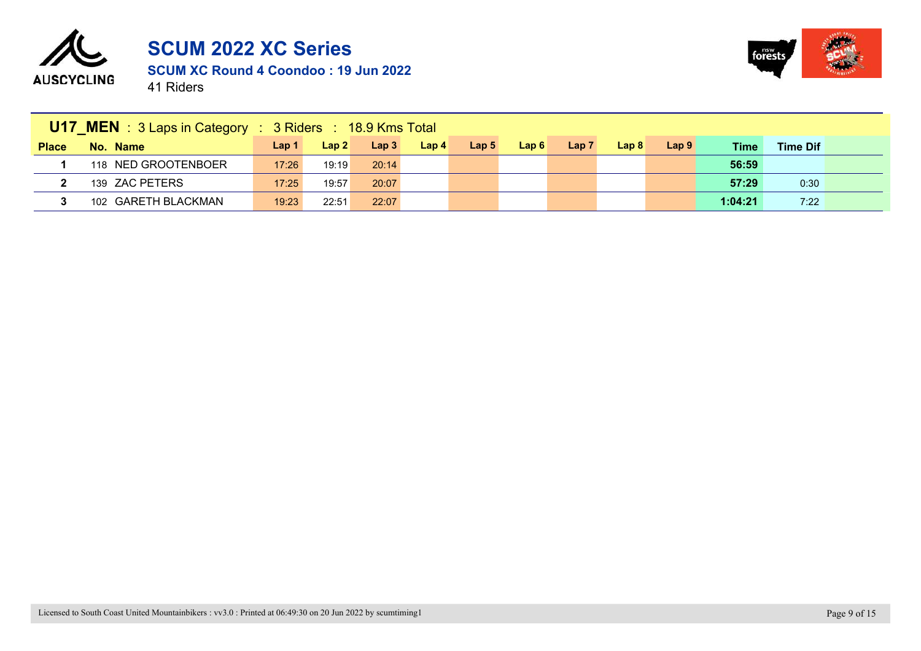



|              | <b>U17 MEN</b> : 3 Laps in Category : 3 Riders : 18.9 Kms Total |                  |       |       |                  |                  |      |                  |       |                  |         |                 |  |
|--------------|-----------------------------------------------------------------|------------------|-------|-------|------------------|------------------|------|------------------|-------|------------------|---------|-----------------|--|
| <b>Place</b> | No. Name                                                        | Lap <sub>1</sub> | Lap2  | Lap3  | Lap <sub>4</sub> | Lap <sub>5</sub> | Lap6 | Lap <sub>7</sub> | Lap 8 | Lap <sub>9</sub> | Time    | <b>Time Dif</b> |  |
|              | 118 NED GROOTENBOER                                             | 17:26            | 19:19 | 20:14 |                  |                  |      |                  |       |                  | 56:59   |                 |  |
|              | 139 ZAC PETERS                                                  | 17:25            | 19:57 | 20:07 |                  |                  |      |                  |       |                  | 57:29   | 0:30            |  |
|              | 102 GARETH BLACKMAN                                             | 19:23            | 22:51 | 22:07 |                  |                  |      |                  |       |                  | 1:04:21 | 7:22            |  |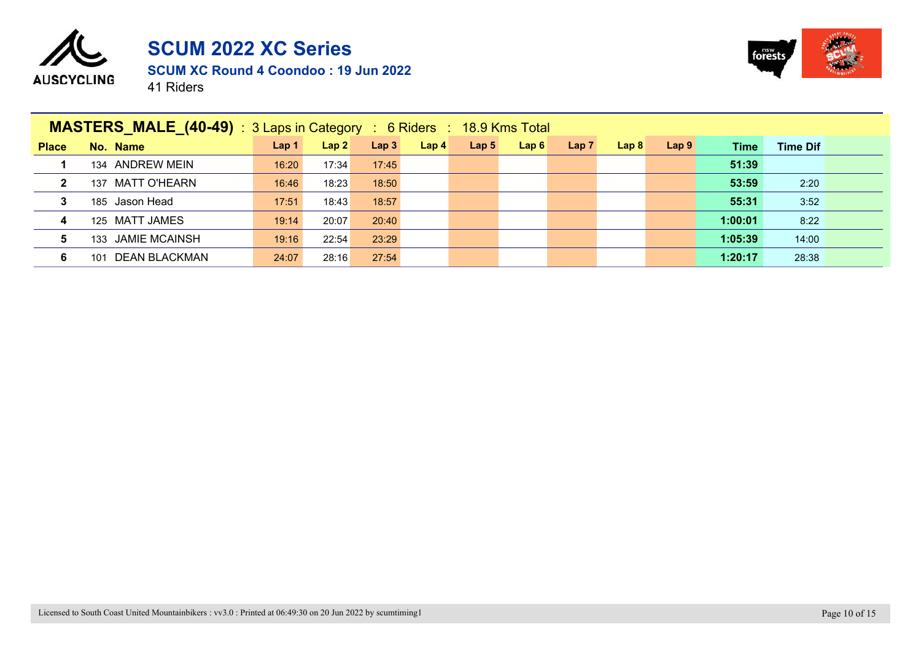



|              | <b>MASTERS MALE (40-49)</b> : 3 Laps in Category : 6 Riders : 18.9 Kms Total |                  |       |                  |                  |                  |      |      |      |                  |         |                 |
|--------------|------------------------------------------------------------------------------|------------------|-------|------------------|------------------|------------------|------|------|------|------------------|---------|-----------------|
| <b>Place</b> | No. Name                                                                     | Lap <sub>1</sub> | Lap2  | Lap <sub>3</sub> | Lap <sub>4</sub> | Lap <sub>5</sub> | Lap6 | Lap7 | Lap8 | Lap <sub>9</sub> | Time    | <b>Time Dif</b> |
|              | 134 ANDREW MEIN                                                              | 16:20            | 17:34 | 17:45            |                  |                  |      |      |      |                  | 51:39   |                 |
| $\mathbf{2}$ | 137 MATT O'HEARN                                                             | 16:46            | 18:23 | 18:50            |                  |                  |      |      |      |                  | 53:59   | 2:20            |
| 3            | 185 Jason Head                                                               | 17:51            | 18:43 | 18:57            |                  |                  |      |      |      |                  | 55:31   | 3:52            |
| 4            | 125 MATT JAMES                                                               | 19:14            | 20:07 | 20:40            |                  |                  |      |      |      |                  | 1:00:01 | 8:22            |
| 5            | 133 JAMIE MCAINSH                                                            | 19:16            | 22:54 | 23:29            |                  |                  |      |      |      |                  | 1:05:39 | 14:00           |
| 6            | DEAN BLACKMAN<br>101                                                         | 24:07            | 28:16 | 27:54            |                  |                  |      |      |      |                  | 1:20:17 | 28:38           |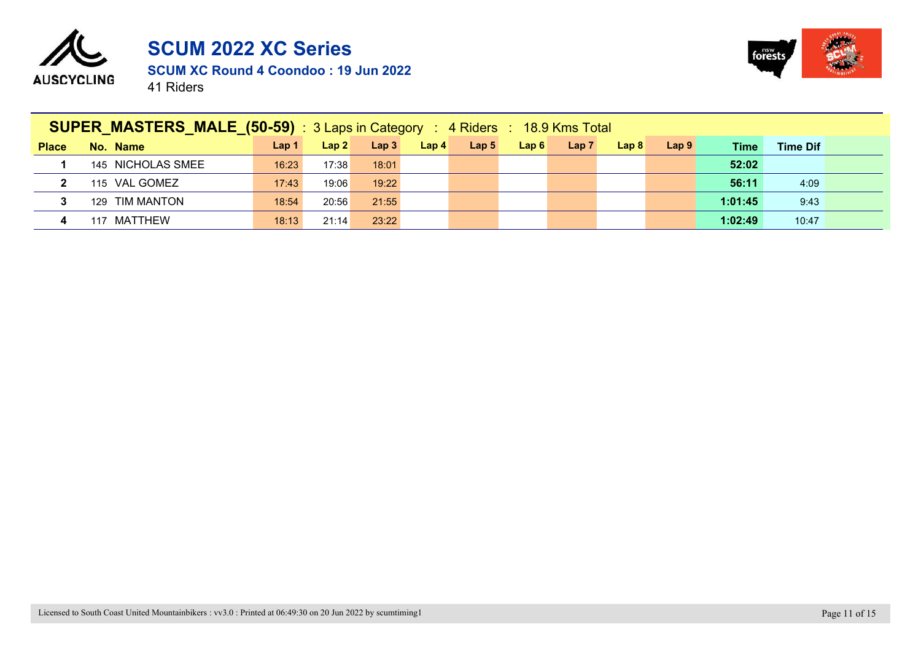



|              | SUPER_MASTERS_MALE_(50-59) : 3 Laps in Category : 4 Riders : 18.9 Kms Total |                  |       |                  |                  |                  |      |      |                  |                  |             |                 |  |
|--------------|-----------------------------------------------------------------------------|------------------|-------|------------------|------------------|------------------|------|------|------------------|------------------|-------------|-----------------|--|
| <b>Place</b> | No. Name                                                                    | Lap <sub>1</sub> | Lap2  | Lap <sub>3</sub> | Lap <sub>4</sub> | Lap <sub>5</sub> | Lap6 | Lap7 | Lap <sub>8</sub> | Lap <sub>9</sub> | <b>Time</b> | <b>Time Dif</b> |  |
|              | 145 NICHOLAS SMEE                                                           | 16:23            | 17:38 | 18:01            |                  |                  |      |      |                  |                  | 52:02       |                 |  |
| $\mathbf{2}$ | 115 VAL GOMEZ                                                               | 17:43            | 19:06 | 19:22            |                  |                  |      |      |                  |                  | 56:11       | 4:09            |  |
| 3            | 129 TIM MANTON                                                              | 18:54            | 20:56 | 21:55            |                  |                  |      |      |                  |                  | 1:01:45     | 9:43            |  |
| 4            | MATTHEW<br>117                                                              | 18:13            | 21:14 | 23:22            |                  |                  |      |      |                  |                  | 1:02:49     | 10:47           |  |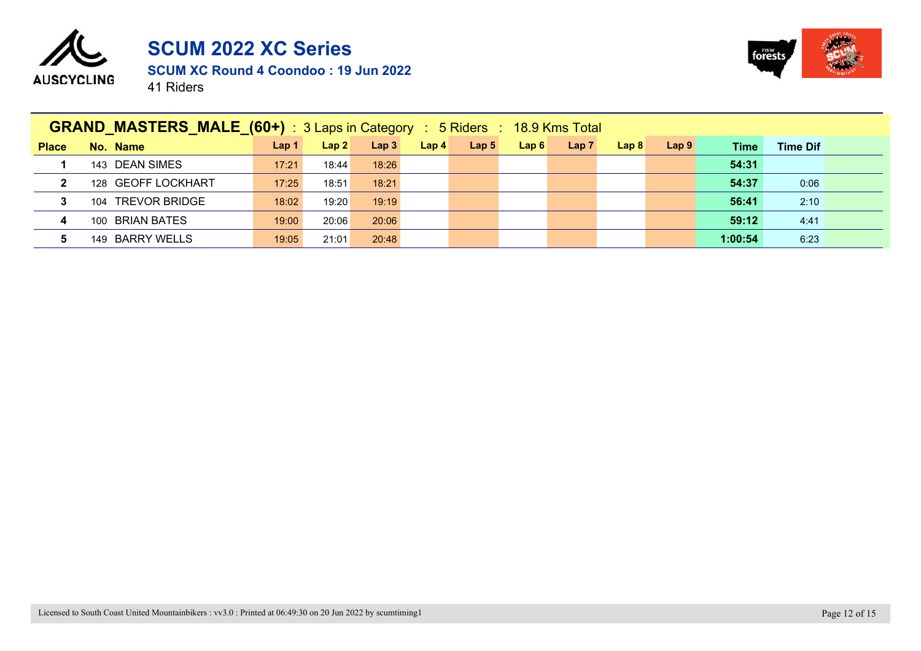



|                         | <b>GRAND MASTERS MALE (60+)</b> : 3 Laps in Category : 5 Riders : 18.9 Kms Total |                  |       |       |      |                  |      |                  |                  |                  |             |                 |  |
|-------------------------|----------------------------------------------------------------------------------|------------------|-------|-------|------|------------------|------|------------------|------------------|------------------|-------------|-----------------|--|
| <b>Place</b>            | No. Name                                                                         | Lap <sub>1</sub> | Lap2  | Lap3  | Lap4 | Lap <sub>5</sub> | Lap6 | Lap <sub>7</sub> | Lap <sub>8</sub> | Lap <sub>9</sub> | <b>Time</b> | <b>Time Dif</b> |  |
|                         | 143 DEAN SIMES                                                                   | 17:21            | 18:44 | 18:26 |      |                  |      |                  |                  |                  | 54:31       |                 |  |
| $\mathbf{2}$            | 128 GEOFF LOCKHART                                                               | 17:25            | 18:51 | 18:21 |      |                  |      |                  |                  |                  | 54:37       | 0:06            |  |
| $\mathbf{3}$            | 104 TREVOR BRIDGE                                                                | 18:02            | 19:20 | 19:19 |      |                  |      |                  |                  |                  | 56:41       | 2:10            |  |
| $\overline{\mathbf{4}}$ | 100 BRIAN BATES                                                                  | 19:00            | 20:06 | 20:06 |      |                  |      |                  |                  |                  | 59:12       | 4:41            |  |
| 5.                      | 149 BARRY WELLS                                                                  | 19:05            | 21:01 | 20:48 |      |                  |      |                  |                  |                  | 1:00:54     | 6:23            |  |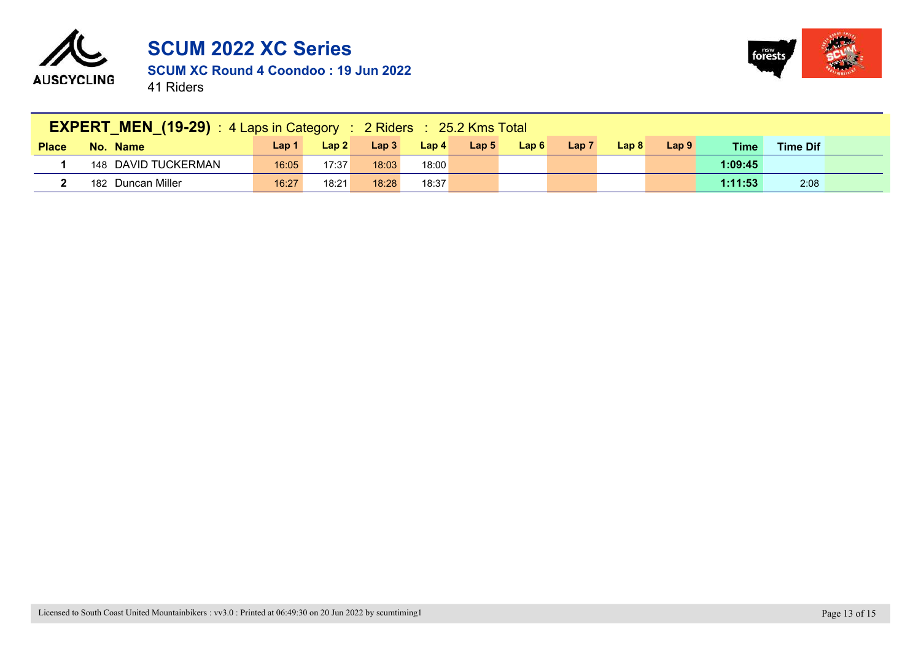



| <b>EXPERT_MEN_(19-29)</b> : 4 Laps in Category : 2 Riders : 25.2 Kms Total |                     |       |       |       |       |                  |      |                  |       |                  |             |                 |  |
|----------------------------------------------------------------------------|---------------------|-------|-------|-------|-------|------------------|------|------------------|-------|------------------|-------------|-----------------|--|
| <b>Place</b>                                                               | No. Name            | Lap 1 | Lap 2 | Lap3  | Lap 4 | Lap <sub>5</sub> | Lap6 | Lap <sub>7</sub> | Lap 8 | Lap <sub>9</sub> | <b>Time</b> | <b>Time Dif</b> |  |
|                                                                            | 148 DAVID TUCKERMAN | 16:05 | 17:37 | 18:03 | 18:00 |                  |      |                  |       |                  | 1:09:45     |                 |  |
|                                                                            | 182 Duncan Miller   | 16:27 | 18:21 | 18:28 | 18:37 |                  |      |                  |       |                  | 1:11:53     | 2:08            |  |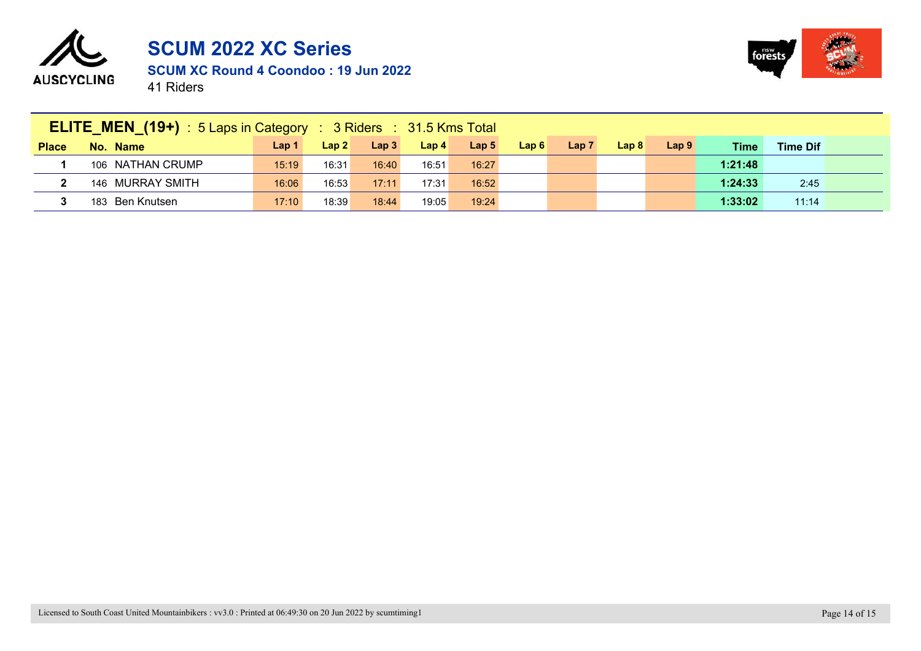



| <b>ELITE_MEN_(19+)</b> : 5 Laps in Category: 3 Riders: 31.5 Kms Total |                  |                  |       |                  |                  |                  |      |                  |       |                  |         |                 |  |
|-----------------------------------------------------------------------|------------------|------------------|-------|------------------|------------------|------------------|------|------------------|-------|------------------|---------|-----------------|--|
| <b>Place</b>                                                          | No. Name         | Lap <sub>1</sub> | Lap 2 | Lap <sub>3</sub> | Lap <sub>4</sub> | Lap <sub>5</sub> | Lap6 | Lap <sub>7</sub> | Lap 8 | Lap <sub>9</sub> | Time    | <b>Time Dif</b> |  |
|                                                                       | 106 NATHAN CRUMP | 15:19            | 16:31 | 16:40            | 16:51            | 16:27            |      |                  |       |                  | 1:21:48 |                 |  |
|                                                                       | 146 MURRAY SMITH | 16:06            | 16:53 | 17:11            | 17:31            | 16:52            |      |                  |       |                  | 1:24:33 | 2:45            |  |
|                                                                       | 183 Ben Knutsen  | 17:10            | 18:39 | 18:44            | 19:05            | 19:24            |      |                  |       |                  | 1:33:02 | 11:14           |  |